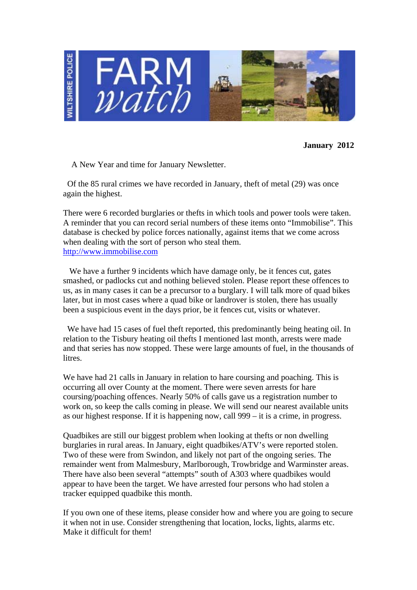

**January 2012** 

A New Year and time for January Newsletter.

 Of the 85 rural crimes we have recorded in January, theft of metal (29) was once again the highest.

There were 6 recorded burglaries or thefts in which tools and power tools were taken. A reminder that you can record serial numbers of these items onto "Immobilise". This database is checked by police forces nationally, against items that we come across when dealing with the sort of person who steal them. http://www.immobilise.com

We have a further 9 incidents which have damage only, be it fences cut, gates smashed, or padlocks cut and nothing believed stolen. Please report these offences to us, as in many cases it can be a precursor to a burglary. I will talk more of quad bikes later, but in most cases where a quad bike or landrover is stolen, there has usually been a suspicious event in the days prior, be it fences cut, visits or whatever.

 We have had 15 cases of fuel theft reported, this predominantly being heating oil. In relation to the Tisbury heating oil thefts I mentioned last month, arrests were made and that series has now stopped. These were large amounts of fuel, in the thousands of litres.

We have had 21 calls in January in relation to hare coursing and poaching. This is occurring all over County at the moment. There were seven arrests for hare coursing/poaching offences. Nearly 50% of calls gave us a registration number to work on, so keep the calls coming in please. We will send our nearest available units as our highest response. If it is happening now, call 999 – it is a crime, in progress.

Quadbikes are still our biggest problem when looking at thefts or non dwelling burglaries in rural areas. In January, eight quadbikes/ATV's were reported stolen. Two of these were from Swindon, and likely not part of the ongoing series. The remainder went from Malmesbury, Marlborough, Trowbridge and Warminster areas. There have also been several "attempts" south of A303 where quadbikes would appear to have been the target. We have arrested four persons who had stolen a tracker equipped quadbike this month.

If you own one of these items, please consider how and where you are going to secure it when not in use. Consider strengthening that location, locks, lights, alarms etc. Make it difficult for them!